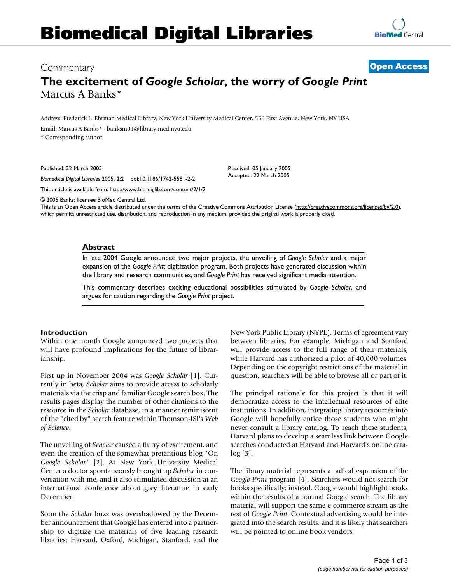# **Biomedical Digital Libraries**

### Commentary **Open Access**

## **The excitement of** *Google Scholar***, the worry of** *Google Print* Marcus A Banks\*

Address: Frederick L. Ehrman Medical Library, New York University Medical Center, 550 First Avenue, New York, NY USA

Email: Marcus A Banks\* - banksm01@library.med.nyu.edu

\* Corresponding author

Published: 22 March 2005

Received: 05 January 2005 Accepted: 22 March 2005

*Biomedical Digital Libraries* 2005, **2**:2 doi:10.1186/1742-5581-2-2 This article is available from: http://www.bio-diglib.com/content/2/1/2

© 2005 Banks; licensee BioMed Central Ltd.

This is an Open Access article distributed under the terms of the Creative Commons Attribution License (http://creativecommons.org/licenses/by/2.0), which permits unrestricted use, distribution, and reproduction in any medium, provided the original work is properly cited.

#### **Abstract**

In late 2004 Google announced two major projects, the unveiling of *Google Scholar* and a major expansion of the *Google Print* digitization program. Both projects have generated discussion within the library and research communities, and *Google Print* has received significant media attention.

This commentary describes exciting educational possibilities stimulated by *Google Scholar*, and argues for caution regarding the *Google Print* project.

#### **Introduction**

Within one month Google announced two projects that will have profound implications for the future of librarianship.

First up in November 2004 was *Google Scholar* [1]. Currently in beta, *Scholar* aims to provide access to scholarly materials via the crisp and familiar Google search box. The results pages display the number of other citations to the resource in the *Scholar* database, in a manner reminiscent of the "cited by" search feature within Thomson-ISI's *Web of Science*.

The unveiling of *Scholar* caused a flurry of excitement, and even the creation of the somewhat pretentious blog "On *Google Scholar*" [2]. At New York University Medical Center a doctor spontaneously brought up *Scholar* in conversation with me, and it also stimulated discussion at an international conference about grey literature in early December.

Soon the *Scholar* buzz was overshadowed by the December announcement that Google has entered into a partnership to digitize the materials of five leading research libraries: Harvard, Oxford, Michigan, Stanford, and the New York Public Library (NYPL). Terms of agreement vary between libraries. For example, Michigan and Stanford will provide access to the full range of their materials, while Harvard has authorized a pilot of 40,000 volumes. Depending on the copyright restrictions of the material in question, searchers will be able to browse all or part of it.

The principal rationale for this project is that it will democratize access to the intellectual resources of elite institutions. In addition, integrating library resources into Google will hopefully entice those students who might never consult a library catalog. To reach these students, Harvard plans to develop a seamless link between Google searches conducted at Harvard and Harvard's online catalog [3].

The library material represents a radical expansion of the *Google Print* program [4]. Searchers would not search for books specifically; instead, Google would highlight books within the results of a normal Google search. The library material will support the same e-commerce stream as the rest of *Google Print*. Contextual advertising would be integrated into the search results, and it is likely that searchers will be pointed to online book vendors.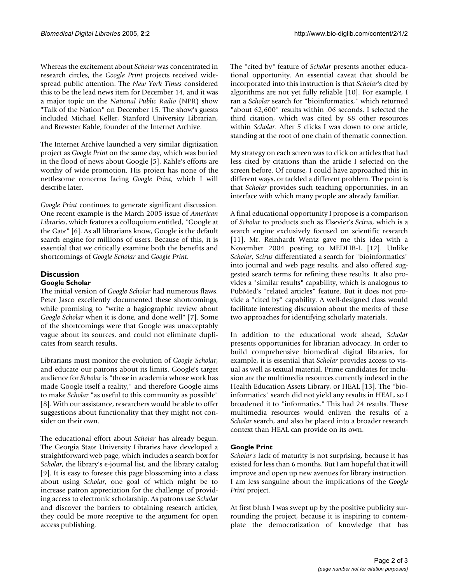Whereas the excitement about *Scholar* was concentrated in research circles, the *Google Print* projects received widespread public attention. The *New York Times* considered this to be the lead news item for December 14, and it was a major topic on the *National Public Radio* (NPR) show "Talk of the Nation" on December 15. The show's guests included Michael Keller, Stanford University Librarian, and Brewster Kahle, founder of the Internet Archive.

The Internet Archive launched a very similar digitization project as *Google Print* on the same day, which was buried in the flood of news about Google [5]. Kahle's efforts are worthy of wide promotion. His project has none of the nettlesome concerns facing *Google Print*, which I will describe later.

*Google Print* continues to generate significant discussion. One recent example is the March 2005 issue of *American Libraries*, which features a colloquium entitled, "Google at the Gate" [6]. As all librarians know, Google is the default search engine for millions of users. Because of this, it is essential that we critically examine both the benefits and shortcomings of *Google Scholar* and *Google Print*.

#### **Discussion**

#### **Google Scholar**

The initial version of *Google Scholar* had numerous flaws. Peter Jasco excellently documented these shortcomings, while promising to "write a hagiographic review about *Google Scholar* when it is done, and done well" [7]. Some of the shortcomings were that Google was unacceptably vague about its sources, and could not eliminate duplicates from search results.

Librarians must monitor the evolution of *Google Scholar*, and educate our patrons about its limits. Google's target audience for *Scholar* is "those in academia whose work has made Google itself a reality," and therefore Google aims to make *Scholar* "as useful to this community as possible" [8]. With our assistance, researchers would be able to offer suggestions about functionality that they might not consider on their own.

The educational effort about *Scholar* has already begun. The Georgia State University Libraries have developed a straightforward web page, which includes a search box for *Scholar*, the library's e-journal list, and the library catalog [9]. It is easy to foresee this page blossoming into a class about using *Scholar*, one goal of which might be to increase patron appreciation for the challenge of providing access to electronic scholarship. As patrons use *Scholar* and discover the barriers to obtaining research articles, they could be more receptive to the argument for open access publishing.

The "cited by" feature of *Scholar* presents another educational opportunity. An essential caveat that should be incorporated into this instruction is that *Scholar*'s cited by algorithms are not yet fully reliable [10]. For example, I ran a *Scholar* search for "bioinformatics," which returned "about 62,600" results within .06 seconds. I selected the third citation, which was cited by 88 other resources within *Scholar*. After 5 clicks I was down to one article, standing at the root of one chain of thematic connection.

My strategy on each screen was to click on articles that had less cited by citations than the article I selected on the screen before. Of course, I could have approached this in different ways, or tackled a different problem. The point is that *Scholar* provides such teaching opportunities, in an interface with which many people are already familiar.

A final educational opportunity I propose is a comparison of *Scholar* to products such as Elsevier's *Scirus*, which is a search engine exclusively focused on scientific research [11]. Mr. Reinhardt Wentz gave me this idea with a November 2004 posting to MEDLIB-L [12]. Unlike *Scholar*, *Scirus* differentiated a search for "bioinformatics" into journal and web page results, and also offered suggested search terms for refining these results. It also provides a "similar results" capability, which is analogous to PubMed's "related articles" feature. But it does not provide a "cited by" capability. A well-designed class would facilitate interesting discussion about the merits of these two approaches for identifying scholarly materials.

In addition to the educational work ahead, *Scholar* presents opportunities for librarian advocacy. In order to build comprehensive biomedical digital libraries, for example, it is essential that *Scholar* provides access to visual as well as textual material. Prime candidates for inclusion are the multimedia resources currently indexed in the Health Education Assets Library, or HEAL [13]. The "bioinformatics" search did not yield any results in HEAL, so I broadened it to "informatics." This had 24 results. These multimedia resources would enliven the results of a *Scholar* search, and also be placed into a broader research context than HEAL can provide on its own.

#### **Google Print**

*Scholar's* lack of maturity is not surprising, because it has existed for less than 6 months. But I am hopeful that it will improve and open up new avenues for library instruction. I am less sanguine about the implications of the *Google Print* project.

At first blush I was swept up by the positive publicity surrounding the project, because it is inspiring to contemplate the democratization of knowledge that has